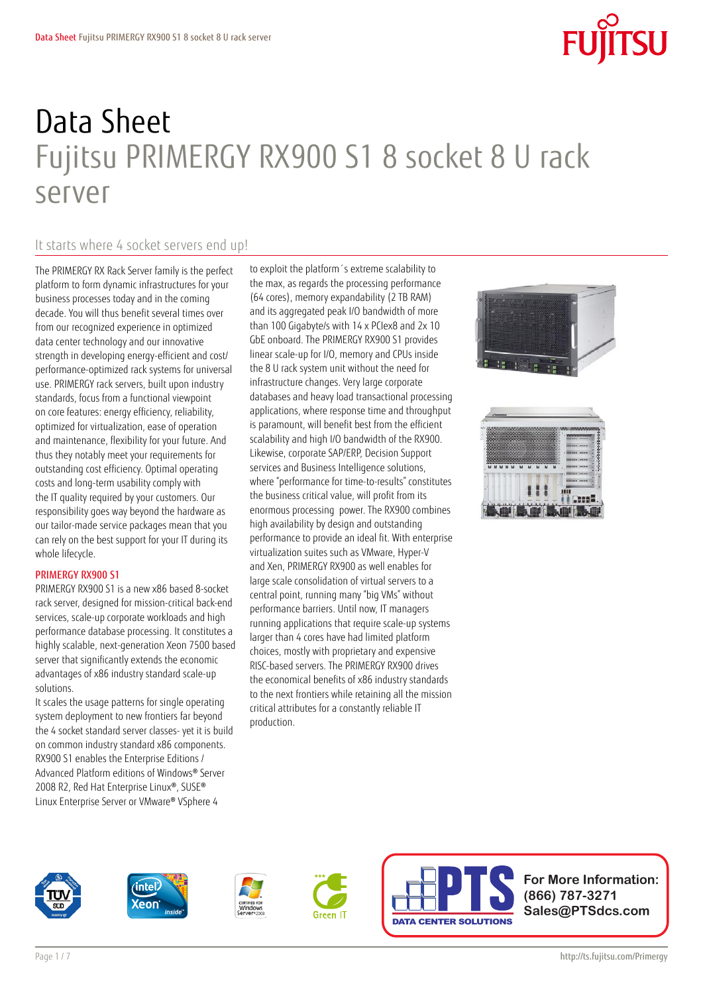# Data Sheet Fujitsu PRIMERGY RX900 S1 8 socket 8 U rack server

### It starts where 4 socket servers end up!

The PRIMERGY RX Rack Server family is the perfect platform to form dynamic infrastructures for your business processes today and in the coming decade. You will thus benefit several times over from our recognized experience in optimized data center technology and our innovative strength in developing energy-efficient and cost/ performance-optimized rack systems for universal use. PRIMERGY rack servers, built upon industry standards, focus from a functional viewpoint on core features: energy efficiency, reliability, optimized for virtualization, ease of operation and maintenance, flexibility for your future. And thus they notably meet your requirements for outstanding cost efficiency. Optimal operating costs and long-term usability comply with the IT quality required by your customers. Our responsibility goes way beyond the hardware as our tailor-made service packages mean that you can rely on the best support for your IT during its whole lifecycle.

### PRIMERGY RX900 S1

PRIMERGY RX900 S1 is a new x86 based 8-socket rack server, designed for mission-critical back-end services, scale-up corporate workloads and high performance database processing. It constitutes a highly scalable, next-generation Xeon 7500 based server that significantly extends the economic advantages of x86 industry standard scale-up solutions.

It scales the usage patterns for single operating system deployment to new frontiers far beyond the 4 socket standard server classes- yet it is build on common industry standard x86 components. RX900 S1 enables the Enterprise Editions / Advanced Platform editions of Windows® Server 2008 R2, Red Hat Enterprise Linux®, SUSE® Linux Enterprise Server or VMware® VSphere 4

to exploit the platform´s extreme scalability to the max, as regards the processing performance (64 cores), memory expandability (2 TB RAM) and its aggregated peak I/O bandwidth of more than 100 Gigabyte/s with 14 x PCIex8 and 2x 10 GbE onboard. The PRIMERGY RX900 S1 provides linear scale-up for I/O, memory and CPUs inside the 8 U rack system unit without the need for infrastructure changes. Very large corporate databases and heavy load transactional processing applications, where response time and throughput is paramount, will benefit best from the efficient scalability and high I/O bandwidth of the RX900. Likewise, corporate SAP/ERP, Decision Support services and Business Intelligence solutions, where "performance for time-to-results" constitutes the business critical value, will profit from its enormous processing power. The RX900 combines high availability by design and outstanding performance to provide an ideal fit. With enterprise virtualization suites such as VMware, Hyper-V and Xen, PRIMERGY RX900 as well enables for large scale consolidation of virtual servers to a central point, running many "big VMs" without performance barriers. Until now, IT managers running applications that require scale-up systems larger than 4 cores have had limited platform choices, mostly with proprietary and expensive RISC-based servers. The PRIMERGY RX900 drives the economical benefits of x86 industry standards to the next frontiers while retaining all the mission critical attributes for a constantly reliable IT production.















**For More Information: (866) 787-3271 Sales@PTSdcs.com**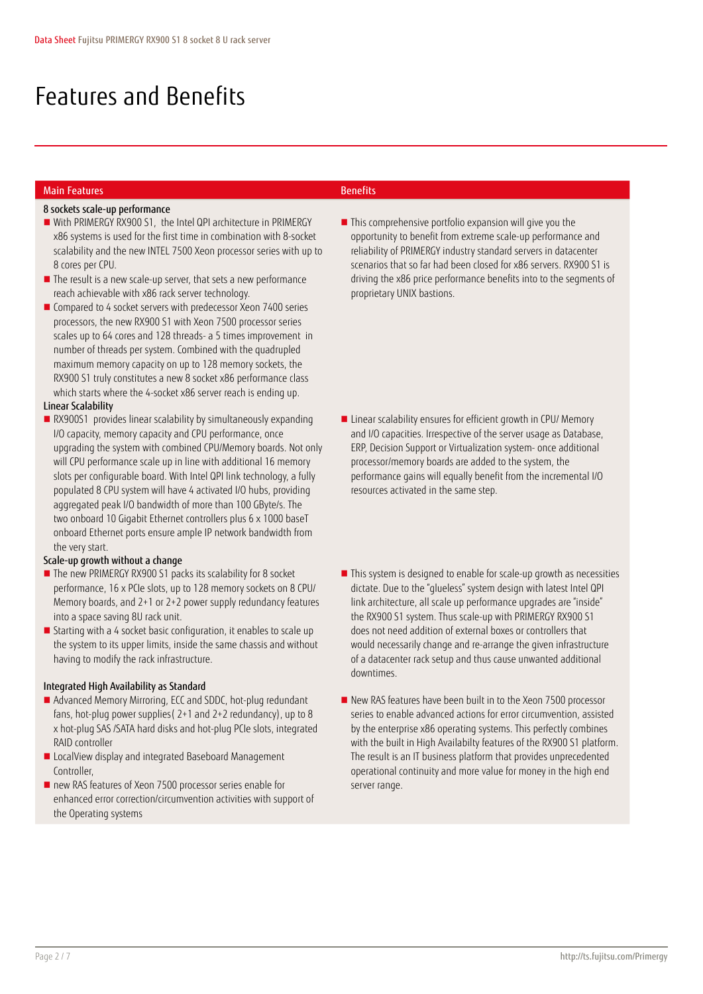## Features and Benefits

### Main Features Benefits

### 8 sockets scale-up performance

- With PRIMERGY RX900 S1, the Intel QPI architecture in PRIMERGY x86 systems is used for the first time in combination with 8-socket scalability and the new INTEL 7500 Xeon processor series with up to 8 cores per CPU.
- The result is a new scale-up server, that sets a new performance reach achievable with x86 rack server technology.
- Compared to 4 socket servers with predecessor Xeon 7400 series processors, the new RX900 S1 with Xeon 7500 processor series scales up to 64 cores and 128 threads- a 5 times improvement in number of threads per system. Combined with the quadrupled maximum memory capacity on up to 128 memory sockets, the RX900 S1 truly constitutes a new 8 socket x86 performance class which starts where the 4-socket x86 server reach is ending up.

### Linear Scalability

RX900S1 provides linear scalability by simultaneously expanding I/O capacity, memory capacity and CPU performance, once upgrading the system with combined CPU/Memory boards. Not only will CPU performance scale up in line with additional 16 memory slots per configurable board. With Intel QPI link technology, a fully populated 8 CPU system will have 4 activated I/O hubs, providing aggregated peak I/O bandwidth of more than 100 GByte/s. The two onboard 10 Gigabit Ethernet controllers plus 6 x 1000 baseT onboard Ethernet ports ensure ample IP network bandwidth from the very start.

### Scale-up growth without a change

- The new PRIMERGY RX900 S1 packs its scalability for 8 socket performance, 16 x PCIe slots, up to 128 memory sockets on 8 CPU/ Memory boards, and 2+1 or 2+2 power supply redundancy features into a space saving 8U rack unit.
- Starting with a 4 socket basic configuration, it enables to scale up the system to its upper limits, inside the same chassis and without having to modify the rack infrastructure.

### Integrated High Availability as Standard

- Advanced Memory Mirroring, ECC and SDDC, hot-plug redundant fans, hot-plug power supplies( 2+1 and 2+2 redundancy), up to 8 x hot-plug SAS /SATA hard disks and hot-plug PCIe slots, integrated RAID controller
- LocalView display and integrated Baseboard Management Controller,
- new RAS features of Xeon 7500 processor series enable for enhanced error correction/circumvention activities with support of the Operating systems

■ This comprehensive portfolio expansion will give you the opportunity to benefit from extreme scale-up performance and reliability of PRIMERGY industry standard servers in datacenter scenarios that so far had been closed for x86 servers. RX900 S1 is driving the x86 price performance benefits into to the segments of proprietary UNIX bastions.

- **Linear scalability ensures for efficient growth in CPU/ Memory** and I/O capacities. Irrespective of the server usage as Database, ERP, Decision Support or Virtualization system- once additional processor/memory boards are added to the system, the performance gains will equally benefit from the incremental I/O resources activated in the same step.
- This system is designed to enable for scale-up growth as necessities dictate. Due to the "glueless" system design with latest Intel QPI link architecture, all scale up performance upgrades are "inside" the RX900 S1 system. Thus scale-up with PRIMERGY RX900 S1 does not need addition of external boxes or controllers that would necessarily change and re-arrange the given infrastructure of a datacenter rack setup and thus cause unwanted additional downtimes.
- New RAS features have been built in to the Xeon 7500 processor series to enable advanced actions for error circumvention, assisted by the enterprise x86 operating systems. This perfectly combines with the built in High Availabilty features of the RX900 S1 platform. The result is an IT business platform that provides unprecedented operational continuity and more value for money in the high end server range.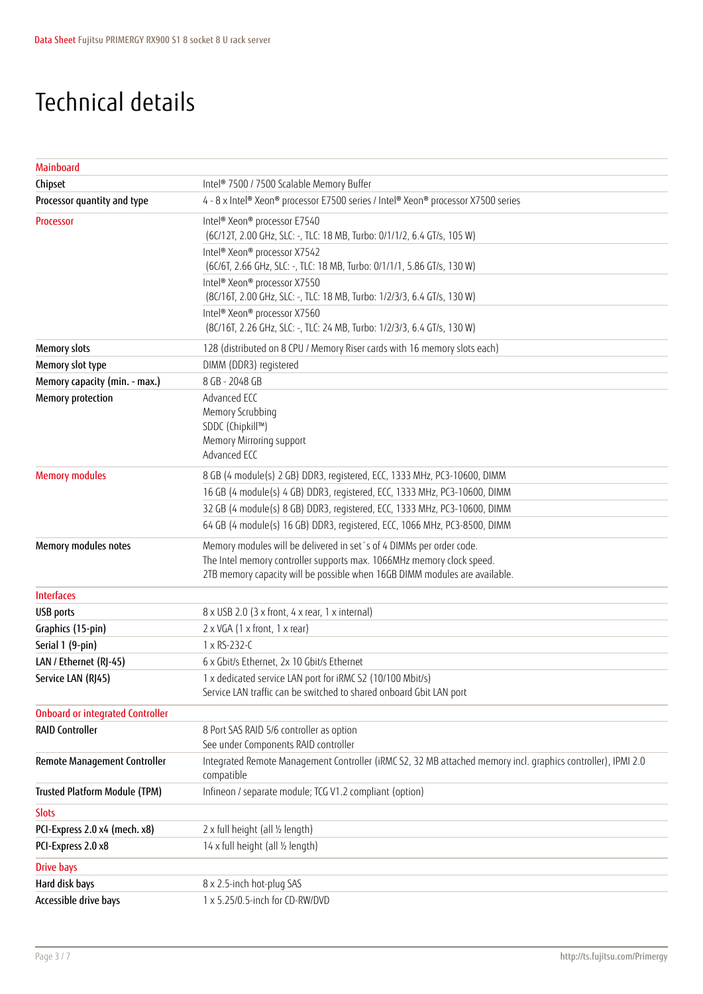## Technical details

| Mainboard                               |                                                                                                                                                                                                                             |
|-----------------------------------------|-----------------------------------------------------------------------------------------------------------------------------------------------------------------------------------------------------------------------------|
| Chipset                                 | Intel® 7500 / 7500 Scalable Memory Buffer                                                                                                                                                                                   |
| Processor quantity and type             | 4 - 8 x Intel® Xeon® processor E7500 series / Intel® Xeon® processor X7500 series                                                                                                                                           |
| Processor                               | Intel® Xeon® processor E7540<br>(6C/12T, 2.00 GHz, SLC: -, TLC: 18 MB, Turbo: 0/1/1/2, 6.4 GT/s, 105 W)                                                                                                                     |
|                                         | Intel® Xeon® processor X7542<br>(6C/6T, 2.66 GHz, SLC: -, TLC: 18 MB, Turbo: 0/1/1/1, 5.86 GT/s, 130 W)                                                                                                                     |
|                                         | Intel® Xeon® processor X7550<br>(8C/16T, 2.00 GHz, SLC: -, TLC: 18 MB, Turbo: 1/2/3/3, 6.4 GT/s, 130 W)                                                                                                                     |
|                                         | Intel <sup>®</sup> Xeon <sup>®</sup> processor X7560<br>(8C/16T, 2.26 GHz, SLC: -, TLC: 24 MB, Turbo: 1/2/3/3, 6.4 GT/s, 130 W)                                                                                             |
| <b>Memory slots</b>                     | 128 (distributed on 8 CPU / Memory Riser cards with 16 memory slots each)                                                                                                                                                   |
| Memory slot type                        | DIMM (DDR3) registered                                                                                                                                                                                                      |
| Memory capacity (min. - max.)           | 8 GB - 2048 GB                                                                                                                                                                                                              |
| Memory protection                       | Advanced ECC<br>Memory Scrubbing<br>SDDC (Chipkill™)<br>Memory Mirroring support<br>Advanced ECC                                                                                                                            |
| <b>Memory modules</b>                   | 8 GB (4 module(s) 2 GB) DDR3, registered, ECC, 1333 MHz, PC3-10600, DIMM                                                                                                                                                    |
|                                         | 16 GB (4 module(s) 4 GB) DDR3, registered, ECC, 1333 MHz, PC3-10600, DIMM                                                                                                                                                   |
|                                         | 32 GB (4 module(s) 8 GB) DDR3, registered, ECC, 1333 MHz, PC3-10600, DIMM                                                                                                                                                   |
|                                         | 64 GB (4 module(s) 16 GB) DDR3, registered, ECC, 1066 MHz, PC3-8500, DIMM                                                                                                                                                   |
| Memory modules notes                    | Memory modules will be delivered in set's of 4 DIMMs per order code.<br>The Intel memory controller supports max. 1066MHz memory clock speed.<br>2TB memory capacity will be possible when 16GB DIMM modules are available. |
| <b>Interfaces</b>                       |                                                                                                                                                                                                                             |
| <b>USB</b> ports                        | 8 x USB 2.0 (3 x front, 4 x rear, 1 x internal)                                                                                                                                                                             |
| Graphics (15-pin)                       | $2 \times VGA$ (1 x front, 1 x rear)                                                                                                                                                                                        |
| Serial 1 (9-pin)                        | 1 x RS-232-C                                                                                                                                                                                                                |
| LAN / Ethernet (RJ-45)                  | 6 x Gbit/s Ethernet, 2x 10 Gbit/s Ethernet                                                                                                                                                                                  |
| Service LAN (RJ45)                      | 1 x dedicated service LAN port for iRMC S2 (10/100 Mbit/s)<br>Service LAN traffic can be switched to shared onboard Gbit LAN port                                                                                           |
| <b>Onboard or integrated Controller</b> |                                                                                                                                                                                                                             |
| <b>RAID Controller</b>                  | 8 Port SAS RAID 5/6 controller as option<br>See under Components RAID controller                                                                                                                                            |
| Remote Management Controller            | Integrated Remote Management Controller (iRMC S2, 32 MB attached memory incl. graphics controller), IPMI 2.0<br>compatible                                                                                                  |
| <b>Trusted Platform Module (TPM)</b>    | Infineon / separate module; TCG V1.2 compliant (option)                                                                                                                                                                     |
| <b>Slots</b>                            |                                                                                                                                                                                                                             |
| PCI-Express 2.0 x4 (mech. x8)           | 2 x full height (all 1/2 length)                                                                                                                                                                                            |
| PCI-Express 2.0 x8                      | 14 x full height (all 1/2 length)                                                                                                                                                                                           |
| <b>Drive bays</b>                       |                                                                                                                                                                                                                             |
| Hard disk bays                          | 8 x 2.5-inch hot-plug SAS                                                                                                                                                                                                   |
| Accessible drive bays                   | 1 x 5.25/0.5-inch for CD-RW/DVD                                                                                                                                                                                             |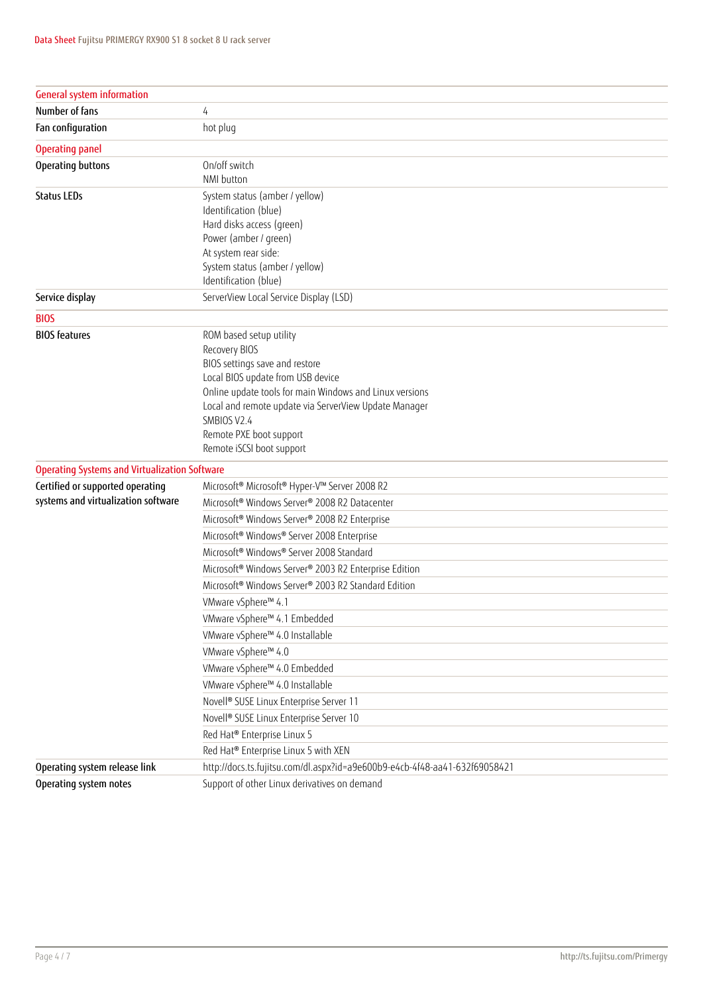| <b>General system information</b>                    |                                                                            |
|------------------------------------------------------|----------------------------------------------------------------------------|
| Number of fans                                       | 4                                                                          |
| Fan configuration                                    | hot plug                                                                   |
| <b>Operating panel</b>                               |                                                                            |
| Operating buttons                                    | On/off switch                                                              |
|                                                      | NMI button                                                                 |
| <b>Status LEDs</b>                                   | System status (amber / yellow)                                             |
|                                                      | Identification (blue)                                                      |
|                                                      | Hard disks access (green)                                                  |
|                                                      | Power (amber / green)                                                      |
|                                                      | At system rear side:                                                       |
|                                                      | System status (amber / yellow)<br>Identification (blue)                    |
| Service display                                      | ServerView Local Service Display (LSD)                                     |
| <b>BIOS</b>                                          |                                                                            |
| <b>BIOS</b> features                                 | ROM based setup utility                                                    |
|                                                      | Recovery BIOS                                                              |
|                                                      | BIOS settings save and restore                                             |
|                                                      | Local BIOS update from USB device                                          |
|                                                      | Online update tools for main Windows and Linux versions                    |
|                                                      | Local and remote update via ServerView Update Manager                      |
|                                                      | SMBIOS V2.4                                                                |
|                                                      | Remote PXE boot support                                                    |
|                                                      | Remote iSCSI boot support                                                  |
| <b>Operating Systems and Virtualization Software</b> |                                                                            |
| Certified or supported operating                     | Microsoft® Microsoft® Hyper-V™ Server 2008 R2                              |
| systems and virtualization software                  | Microsoft® Windows Server® 2008 R2 Datacenter                              |
|                                                      | Microsoft® Windows Server® 2008 R2 Enterprise                              |
|                                                      | Microsoft® Windows® Server 2008 Enterprise                                 |
|                                                      | Microsoft® Windows® Server 2008 Standard                                   |
|                                                      | Microsoft® Windows Server® 2003 R2 Enterprise Edition                      |
|                                                      | Microsoft <sup>®</sup> Windows Server® 2003 R2 Standard Edition            |
|                                                      | VMware vSphere™ 4.1                                                        |
|                                                      | VMware vSphere™ 4.1 Embedded                                               |
|                                                      | VMware vSphere™ 4.0 Installable                                            |
|                                                      | VMware vSphere™ 4.0                                                        |
|                                                      | VMware vSphere™ 4.0 Embedded                                               |
|                                                      | VMware vSphere™ 4.0 Installable                                            |
|                                                      | Novell <sup>®</sup> SUSE Linux Enterprise Server 11                        |
|                                                      | Novell <sup>®</sup> SUSE Linux Enterprise Server 10                        |
|                                                      | Red Hat® Enterprise Linux 5                                                |
|                                                      | Red Hat® Enterprise Linux 5 with XEN                                       |
| Operating system release link                        | http://docs.ts.fujitsu.com/dl.aspx?id=a9e600b9-e4cb-4f48-aa41-632f69058421 |
| Operating system notes                               | Support of other Linux derivatives on demand                               |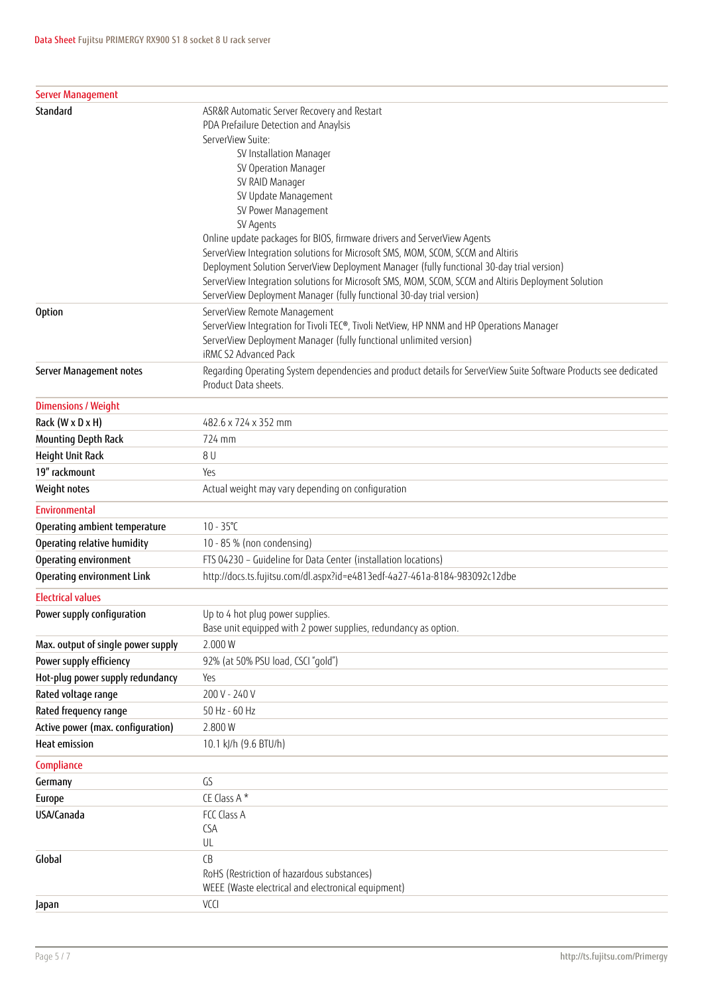| <b>Server Management</b>           |                                                                                                                                                            |
|------------------------------------|------------------------------------------------------------------------------------------------------------------------------------------------------------|
| Standard                           | ASR&R Automatic Server Recovery and Restart                                                                                                                |
|                                    | PDA Prefailure Detection and Anaylsis                                                                                                                      |
|                                    | ServerView Suite:                                                                                                                                          |
|                                    | SV Installation Manager                                                                                                                                    |
|                                    | SV Operation Manager                                                                                                                                       |
|                                    | SV RAID Manager                                                                                                                                            |
|                                    | SV Update Management                                                                                                                                       |
|                                    | SV Power Management                                                                                                                                        |
|                                    | SV Agents                                                                                                                                                  |
|                                    | Online update packages for BIOS, firmware drivers and ServerView Agents<br>ServerView Integration solutions for Microsoft SMS, MOM, SCOM, SCCM and Altiris |
|                                    | Deployment Solution ServerView Deployment Manager (fully functional 30-day trial version)                                                                  |
|                                    | ServerView Integration solutions for Microsoft SMS, MOM, SCOM, SCCM and Altiris Deployment Solution                                                        |
|                                    | ServerView Deployment Manager (fully functional 30-day trial version)                                                                                      |
| <b>Option</b>                      | ServerView Remote Management                                                                                                                               |
|                                    | ServerView Integration for Tivoli TEC®, Tivoli NetView, HP NNM and HP Operations Manager                                                                   |
|                                    | ServerView Deployment Manager (fully functional unlimited version)                                                                                         |
|                                    | iRMC S2 Advanced Pack                                                                                                                                      |
| Server Management notes            | Regarding Operating System dependencies and product details for ServerView Suite Software Products see dedicated                                           |
|                                    | Product Data sheets.                                                                                                                                       |
| <b>Dimensions / Weight</b>         |                                                                                                                                                            |
| Rack (W x D x H)                   | 482.6 x 724 x 352 mm                                                                                                                                       |
| <b>Mounting Depth Rack</b>         | 724 mm                                                                                                                                                     |
| Height Unit Rack                   | 8 U                                                                                                                                                        |
| 19" rackmount                      | Yes                                                                                                                                                        |
| Weight notes                       | Actual weight may vary depending on configuration                                                                                                          |
| Environmental                      |                                                                                                                                                            |
| Operating ambient temperature      | $10 - 35^{\circ}C$                                                                                                                                         |
| Operating relative humidity        | 10 - 85 % (non condensing)                                                                                                                                 |
| Operating environment              | FTS 04230 - Guideline for Data Center (installation locations)                                                                                             |
| Operating environment Link         | http://docs.ts.fujitsu.com/dl.aspx?id=e4813edf-4a27-461a-8184-983092c12dbe                                                                                 |
| <b>Electrical values</b>           |                                                                                                                                                            |
| Power supply configuration         | Up to 4 hot plug power supplies.                                                                                                                           |
|                                    | Base unit equipped with 2 power supplies, redundancy as option.                                                                                            |
| Max. output of single power supply | 2.000W                                                                                                                                                     |
| Power supply efficiency            | 92% (at 50% PSU load, CSCI "gold")                                                                                                                         |
| Hot-plug power supply redundancy   | Yes                                                                                                                                                        |
| Rated voltage range                | 200 V - 240 V                                                                                                                                              |
| Rated frequency range              | 50 Hz - 60 Hz                                                                                                                                              |
| Active power (max. configuration)  | 2.800W                                                                                                                                                     |
| <b>Heat emission</b>               | 10.1 kJ/h (9.6 BTU/h)                                                                                                                                      |
| Compliance                         |                                                                                                                                                            |
| Germany                            | GS                                                                                                                                                         |
| <b>Europe</b>                      | CE Class A*                                                                                                                                                |
| USA/Canada                         | FCC Class A                                                                                                                                                |
|                                    | <b>CSA</b>                                                                                                                                                 |
|                                    | UL                                                                                                                                                         |
| Global                             | CB                                                                                                                                                         |
|                                    | RoHS (Restriction of hazardous substances)                                                                                                                 |
|                                    | WEEE (Waste electrical and electronical equipment)                                                                                                         |
| Japan                              | VCCI                                                                                                                                                       |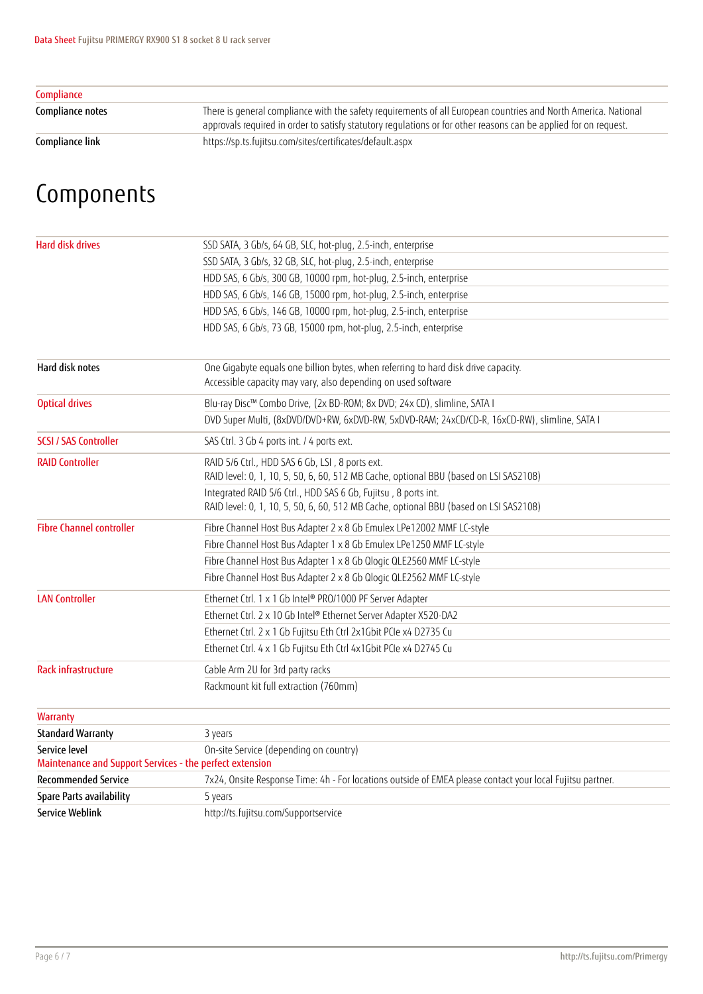| Compliance       |                                                                                                                                                                                                                                    |
|------------------|------------------------------------------------------------------------------------------------------------------------------------------------------------------------------------------------------------------------------------|
| Compliance notes | There is general compliance with the safety requirements of all European countries and North America. National<br>approvals required in order to satisfy statutory requlations or for other reasons can be applied for on request. |
| Compliance link  | https://sp.ts.fujitsu.com/sites/certificates/default.aspx                                                                                                                                                                          |

## Components

| <b>Hard disk drives</b>                                                   | SSD SATA, 3 Gb/s, 64 GB, SLC, hot-plug, 2.5-inch, enterprise                                                                                            |
|---------------------------------------------------------------------------|---------------------------------------------------------------------------------------------------------------------------------------------------------|
|                                                                           | SSD SATA, 3 Gb/s, 32 GB, SLC, hot-plug, 2.5-inch, enterprise                                                                                            |
|                                                                           | HDD SAS, 6 Gb/s, 300 GB, 10000 rpm, hot-plug, 2.5-inch, enterprise                                                                                      |
|                                                                           | HDD SAS, 6 Gb/s, 146 GB, 15000 rpm, hot-plug, 2.5-inch, enterprise                                                                                      |
|                                                                           | HDD SAS, 6 Gb/s, 146 GB, 10000 rpm, hot-plug, 2.5-inch, enterprise                                                                                      |
|                                                                           | HDD SAS, 6 Gb/s, 73 GB, 15000 rpm, hot-plug, 2.5-inch, enterprise                                                                                       |
| Hard disk notes                                                           | One Gigabyte equals one billion bytes, when referring to hard disk drive capacity.                                                                      |
|                                                                           | Accessible capacity may vary, also depending on used software                                                                                           |
| <b>Optical drives</b>                                                     | Blu-ray Disc™ Combo Drive, (2x BD-ROM; 8x DVD; 24x CD), slimline, SATA I                                                                                |
|                                                                           | DVD Super Multi, (8xDVD/DVD+RW, 6xDVD-RW, 5xDVD-RAM; 24xCD/CD-R, 16xCD-RW), slimline, SATA I                                                            |
| <b>SCSI / SAS Controller</b>                                              | SAS Ctrl. 3 Gb 4 ports int. / 4 ports ext.                                                                                                              |
| <b>RAID Controller</b>                                                    | RAID 5/6 Ctrl., HDD SAS 6 Gb, LSI, 8 ports ext.<br>RAID level: 0, 1, 10, 5, 50, 6, 60, 512 MB Cache, optional BBU (based on LSI SAS2108)                |
|                                                                           | Integrated RAID 5/6 Ctrl., HDD SAS 6 Gb, Fujitsu, 8 ports int.<br>RAID level: 0, 1, 10, 5, 50, 6, 60, 512 MB Cache, optional BBU (based on LSI SAS2108) |
| <b>Fibre Channel controller</b>                                           | Fibre Channel Host Bus Adapter 2 x 8 Gb Emulex LPe12002 MMF LC-style                                                                                    |
|                                                                           | Fibre Channel Host Bus Adapter 1 x 8 Gb Emulex LPe1250 MMF LC-style                                                                                     |
|                                                                           | Fibre Channel Host Bus Adapter 1 x 8 Gb Qlogic QLE2560 MMF LC-style                                                                                     |
|                                                                           | Fibre Channel Host Bus Adapter 2 x 8 Gb Qlogic QLE2562 MMF LC-style                                                                                     |
| <b>LAN Controller</b>                                                     | Ethernet Ctrl. 1 x 1 Gb Intel® PRO/1000 PF Server Adapter                                                                                               |
|                                                                           | Ethernet Ctrl. 2 x 10 Gb Intel® Ethernet Server Adapter X520-DA2                                                                                        |
|                                                                           | Ethernet Ctrl. 2 x 1 Gb Fujitsu Eth Ctrl 2x1Gbit PCIe x4 D2735 Cu                                                                                       |
|                                                                           | Ethernet Ctrl. 4 x 1 Gb Fujitsu Eth Ctrl 4x1 Gbit PCIe x4 D2745 Cu                                                                                      |
| <b>Rack infrastructure</b>                                                | Cable Arm 2U for 3rd party racks                                                                                                                        |
|                                                                           | Rackmount kit full extraction (760mm)                                                                                                                   |
| Warranty                                                                  |                                                                                                                                                         |
| <b>Standard Warranty</b>                                                  | 3 years                                                                                                                                                 |
| Service level<br>Maintenance and Support Services - the perfect extension | On-site Service (depending on country)                                                                                                                  |
| <b>Recommended Service</b>                                                | 7x24, Onsite Response Time: 4h - For locations outside of EMEA please contact your local Fujitsu partner.                                               |
| Spare Parts availability                                                  | 5 years                                                                                                                                                 |
| Service Weblink                                                           | http://ts.fujitsu.com/Supportservice                                                                                                                    |